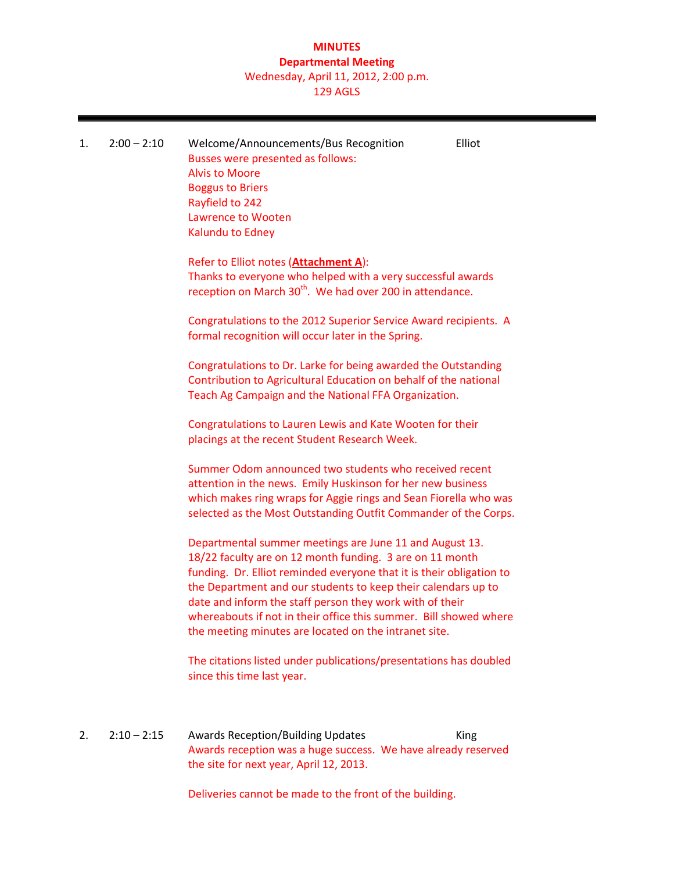## **MINUTES Departmental Meeting** Wednesday, April 11, 2012, 2:00 p.m.

129 AGLS

| 1. | $2:00 - 2:10$ | Elliot<br>Welcome/Announcements/Bus Recognition<br>Busses were presented as follows:<br><b>Alvis to Moore</b><br><b>Boggus to Briers</b><br>Rayfield to 242<br><b>Lawrence to Wooten</b><br>Kalundu to Edney<br>Refer to Elliot notes (Attachment A):<br>Thanks to everyone who helped with a very successful awards<br>reception on March 30 <sup>th</sup> . We had over 200 in attendance.<br>Congratulations to the 2012 Superior Service Award recipients. A<br>formal recognition will occur later in the Spring. |
|----|---------------|------------------------------------------------------------------------------------------------------------------------------------------------------------------------------------------------------------------------------------------------------------------------------------------------------------------------------------------------------------------------------------------------------------------------------------------------------------------------------------------------------------------------|
|    |               | Congratulations to Dr. Larke for being awarded the Outstanding<br>Contribution to Agricultural Education on behalf of the national<br>Teach Ag Campaign and the National FFA Organization.<br>Congratulations to Lauren Lewis and Kate Wooten for their<br>placings at the recent Student Research Week.                                                                                                                                                                                                               |
|    |               | Summer Odom announced two students who received recent<br>attention in the news. Emily Huskinson for her new business<br>which makes ring wraps for Aggie rings and Sean Fiorella who was<br>selected as the Most Outstanding Outfit Commander of the Corps.                                                                                                                                                                                                                                                           |
|    |               | Departmental summer meetings are June 11 and August 13.<br>18/22 faculty are on 12 month funding. 3 are on 11 month<br>funding. Dr. Elliot reminded everyone that it is their obligation to<br>the Department and our students to keep their calendars up to<br>date and inform the staff person they work with of their<br>whereabouts if not in their office this summer. Bill showed where<br>the meeting minutes are located on the intranet site.                                                                 |
|    |               | The citations listed under publications/presentations has doubled<br>since this time last year.                                                                                                                                                                                                                                                                                                                                                                                                                        |
| 2. | $2:10 - 2:15$ | <b>Awards Reception/Building Updates</b><br>King<br>Awards reception was a huge success. We have already reserved<br>the site for next year, April 12, 2013.                                                                                                                                                                                                                                                                                                                                                           |
|    |               | Deliveries cannot be made to the front of the building.                                                                                                                                                                                                                                                                                                                                                                                                                                                                |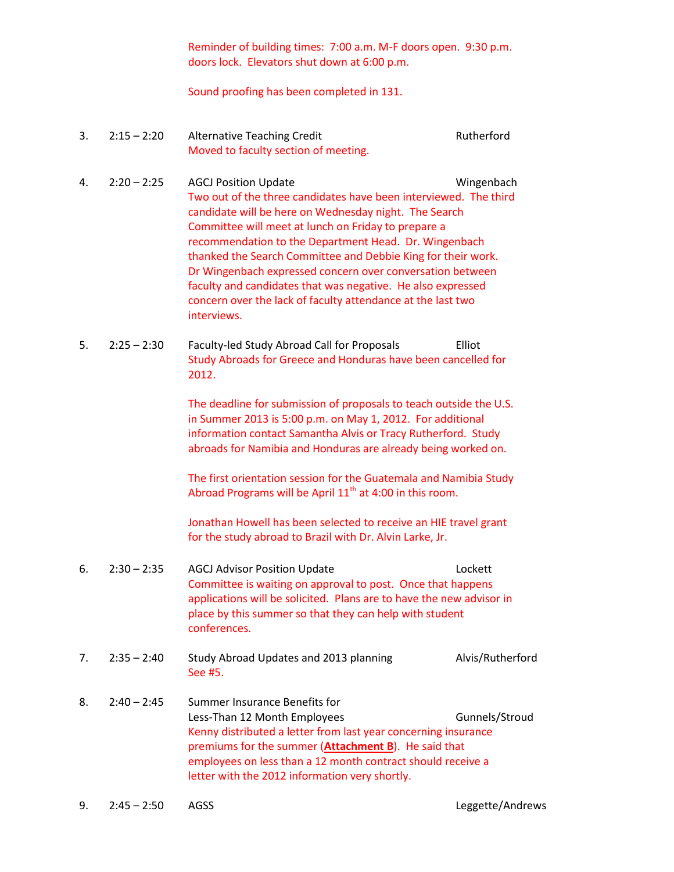Reminder of building times: 7:00 a.m. M-F doors open. 9:30 p.m. doors lock. Elevators shut down at 6:00 p.m.

### Sound proofing has been completed in 131.

- 3. 2:15 2:20 Alternative Teaching Credit Rutherford Moved to faculty section of meeting.
- 4. 2:20 2:25 AGCJ Position Update Wingenbach Two out of the three candidates have been interviewed. The third candidate will be here on Wednesday night. The Search Committee will meet at lunch on Friday to prepare a recommendation to the Department Head. Dr. Wingenbach thanked the Search Committee and Debbie King for their work. Dr Wingenbach expressed concern over conversation between faculty and candidates that was negative. He also expressed concern over the lack of faculty attendance at the last two interviews.
- 5. 2:25 2:30 Faculty-led Study Abroad Call for Proposals Elliot Study Abroads for Greece and Honduras have been cancelled for 2012.

The deadline for submission of proposals to teach outside the U.S. in Summer 2013 is 5:00 p.m. on May 1, 2012. For additional information contact Samantha Alvis or Tracy Rutherford. Study abroads for Namibia and Honduras are already being worked on.

The first orientation session for the Guatemala and Namibia Study Abroad Programs will be April  $11<sup>th</sup>$  at 4:00 in this room.

Jonathan Howell has been selected to receive an HIE travel grant for the study abroad to Brazil with Dr. Alvin Larke, Jr.

- 6. 2:30 2:35 AGCJ Advisor Position Update Lockett Committee is waiting on approval to post. Once that happens applications will be solicited. Plans are to have the new advisor in place by this summer so that they can help with student conferences.
- 7. 2:35 2:40 Study Abroad Updates and 2013 planning Alvis/Rutherford See #5.
- 8. 2:40 2:45 Summer Insurance Benefits for Less-Than 12 Month Employees Gunnels/Stroud Kenny distributed a letter from last year concerning insurance premiums for the summer (**Attachment B**). He said that employees on less than a 12 month contract should receive a letter with the 2012 information very shortly.

9. 2:45 – 2:50 AGSS AGSS Leggette/Andrews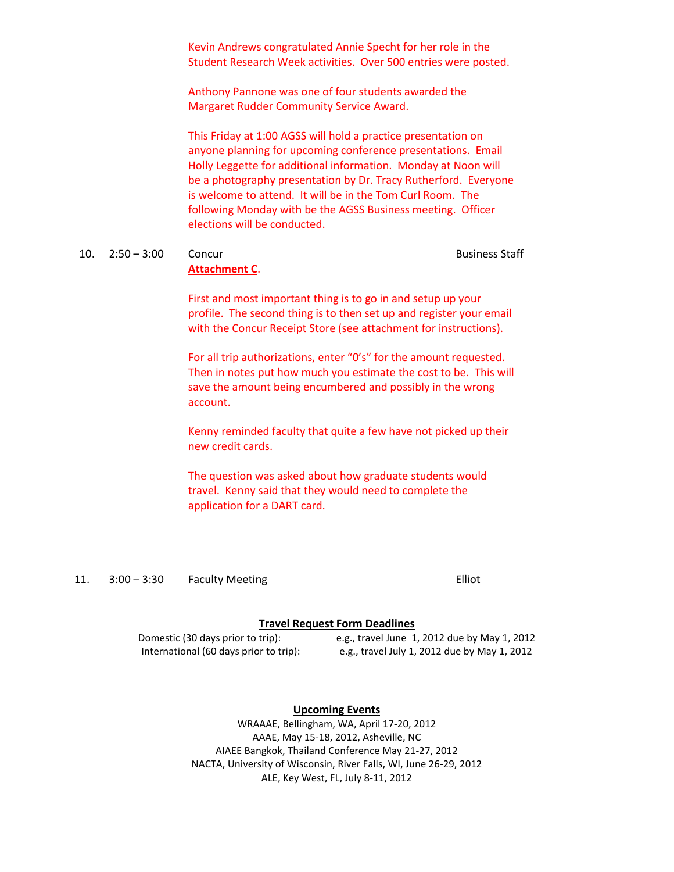Kevin Andrews congratulated Annie Specht for her role in the Student Research Week activities. Over 500 entries were posted.

Anthony Pannone was one of four students awarded the Margaret Rudder Community Service Award.

This Friday at 1:00 AGSS will hold a practice presentation on anyone planning for upcoming conference presentations. Email Holly Leggette for additional information. Monday at Noon will be a photography presentation by Dr. Tracy Rutherford. Everyone is welcome to attend. It will be in the Tom Curl Room. The following Monday with be the AGSS Business meeting. Officer elections will be conducted.

#### 10. 2:50 – 3:00 Concur Concur Business Staff **Attachment C**.

First and most important thing is to go in and setup up your profile. The second thing is to then set up and register your email with the Concur Receipt Store (see attachment for instructions).

For all trip authorizations, enter "0's" for the amount requested. Then in notes put how much you estimate the cost to be. This will save the amount being encumbered and possibly in the wrong account.

Kenny reminded faculty that quite a few have not picked up their new credit cards.

The question was asked about how graduate students would travel. Kenny said that they would need to complete the application for a DART card.

11. 3:00 – 3:30 Faculty Meeting Elliot

### **Travel Request Form Deadlines**

Domestic (30 days prior to trip): e.g., travel June 1, 2012 due by May 1, 2012 International (60 days prior to trip): e.g., travel July 1, 2012 due by May 1, 2012

#### **Upcoming Events**

WRAAAE, Bellingham, WA, April 17-20, 2012 AAAE, May 15-18, 2012, Asheville, NC AIAEE Bangkok, Thailand Conference May 21-27, 2012 NACTA, University of Wisconsin, River Falls, WI, June 26-29, 2012 ALE, Key West, FL, July 8-11, 2012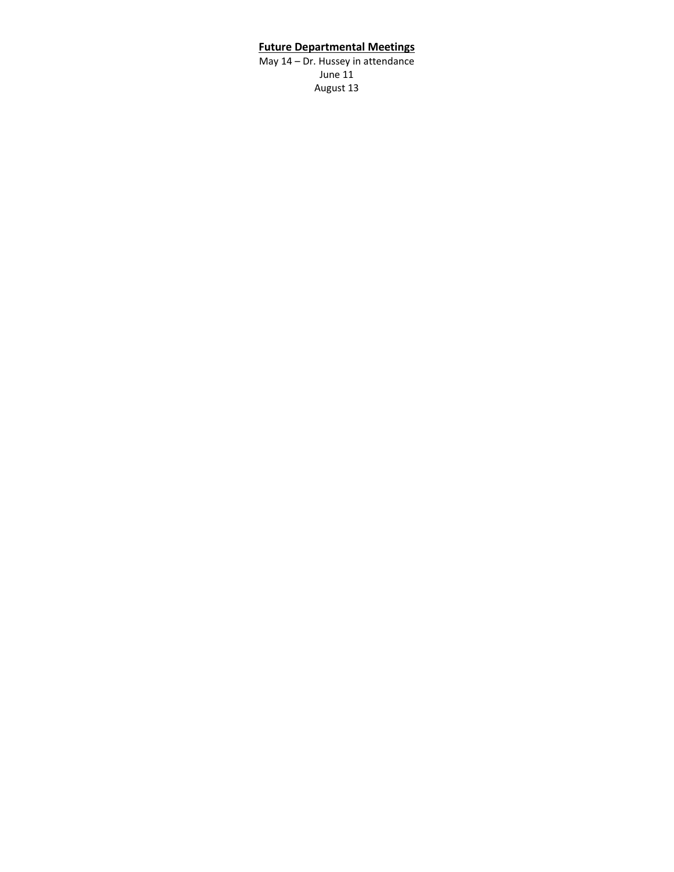## **Future Departmental Meetings**

May 14 – Dr. Hussey in attendance June 11 August 13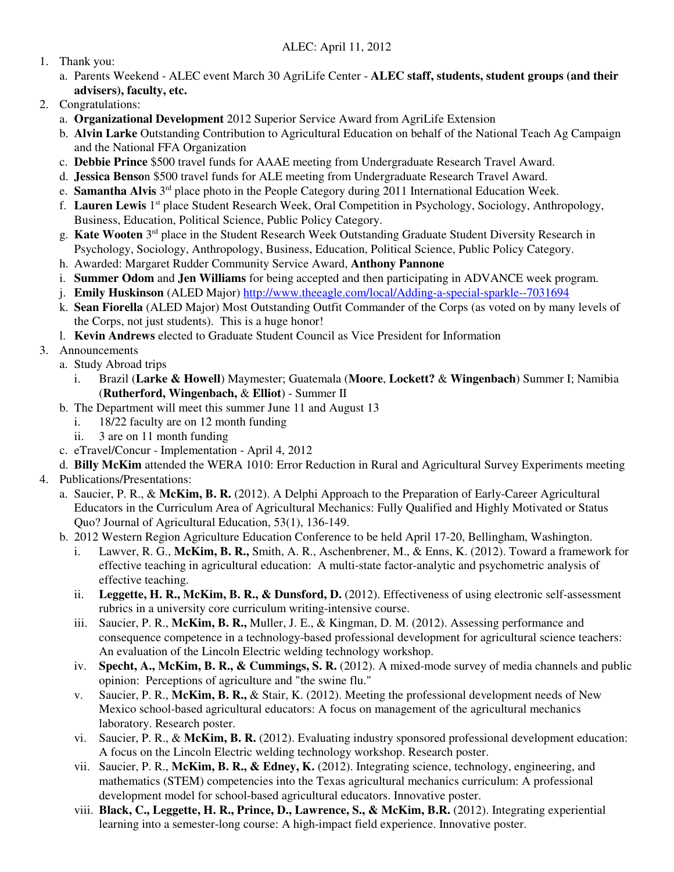- 1. Thank you:
	- a. Parents Weekend ALEC event March 30 AgriLife Center **ALEC staff, students, student groups (and their advisers), faculty, etc.**
- 2. Congratulations:
	- a. **Organizational Development** 2012 Superior Service Award from AgriLife Extension
	- b. **Alvin Larke** Outstanding Contribution to Agricultural Education on behalf of the National Teach Ag Campaign and the National FFA Organization
	- c. **Debbie Prince** \$500 travel funds for AAAE meeting from Undergraduate Research Travel Award.
	- d. **Jessica Benso**n \$500 travel funds for ALE meeting from Undergraduate Research Travel Award.
	- e. **Samantha Alvis** 3rd place photo in the People Category during 2011 International Education Week.
	- f. **Lauren Lewis** 1st place Student Research Week, Oral Competition in Psychology, Sociology, Anthropology, Business, Education, Political Science, Public Policy Category.
	- g. **Kate Wooten** 3rd place in the Student Research Week Outstanding Graduate Student Diversity Research in Psychology, Sociology, Anthropology, Business, Education, Political Science, Public Policy Category.
	- h. Awarded: Margaret Rudder Community Service Award, **Anthony Pannone**
	- i. **Summer Odom** and **Jen Williams** for being accepted and then participating in ADVANCE week program.
	- j. **Emily Huskinson** (ALED Major) http://www.theeagle.com/local/Adding-a-special-sparkle--7031694
	- k. **Sean Fiorella** (ALED Major) Most Outstanding Outfit Commander of the Corps (as voted on by many levels of the Corps, not just students). This is a huge honor!
	- l. **Kevin Andrews** elected to Graduate Student Council as Vice President for Information
- 3. Announcements
	- a. Study Abroad trips
		- i. Brazil (**Larke & Howell**) Maymester; Guatemala (**Moore**, **Lockett?** & **Wingenbach**) Summer I; Namibia (**Rutherford, Wingenbach,** & **Elliot**) - Summer II
	- b. The Department will meet this summer June 11 and August 13
		- i. 18/22 faculty are on 12 month funding
		- ii. 3 are on 11 month funding
	- c. eTravel/Concur Implementation April 4, 2012
	- d. **Billy McKim** attended the WERA 1010: Error Reduction in Rural and Agricultural Survey Experiments meeting
- 4. Publications/Presentations:
	- a. Saucier, P. R., & **McKim, B. R.** (2012). A Delphi Approach to the Preparation of Early-Career Agricultural Educators in the Curriculum Area of Agricultural Mechanics: Fully Qualified and Highly Motivated or Status Quo? Journal of Agricultural Education, 53(1), 136-149.
	- b. 2012 Western Region Agriculture Education Conference to be held April 17-20, Bellingham, Washington.
		- i. Lawver, R. G., **McKim, B. R.,** Smith, A. R., Aschenbrener, M., & Enns, K. (2012). Toward a framework for effective teaching in agricultural education: A multi-state factor-analytic and psychometric analysis of effective teaching.
		- ii. **Leggette, H. R., McKim, B. R., & Dunsford, D.** (2012). Effectiveness of using electronic self-assessment rubrics in a university core curriculum writing-intensive course.
		- iii. Saucier, P. R., **McKim, B. R.,** Muller, J. E., & Kingman, D. M. (2012). Assessing performance and consequence competence in a technology-based professional development for agricultural science teachers: An evaluation of the Lincoln Electric welding technology workshop.
		- iv. **Specht, A., McKim, B. R., & Cummings, S. R.** (2012). A mixed-mode survey of media channels and public opinion: Perceptions of agriculture and "the swine flu."
		- v. Saucier, P. R., **McKim, B. R.,** & Stair, K. (2012). Meeting the professional development needs of New Mexico school-based agricultural educators: A focus on management of the agricultural mechanics laboratory. Research poster.
		- vi. Saucier, P. R., & **McKim, B. R.** (2012). Evaluating industry sponsored professional development education: A focus on the Lincoln Electric welding technology workshop. Research poster.
		- vii. Saucier, P. R., **McKim, B. R., & Edney, K.** (2012). Integrating science, technology, engineering, and mathematics (STEM) competencies into the Texas agricultural mechanics curriculum: A professional development model for school-based agricultural educators. Innovative poster.
		- viii. **Black, C., Leggette, H. R., Prince, D., Lawrence, S., & McKim, B.R.** (2012). Integrating experiential learning into a semester-long course: A high-impact field experience. Innovative poster.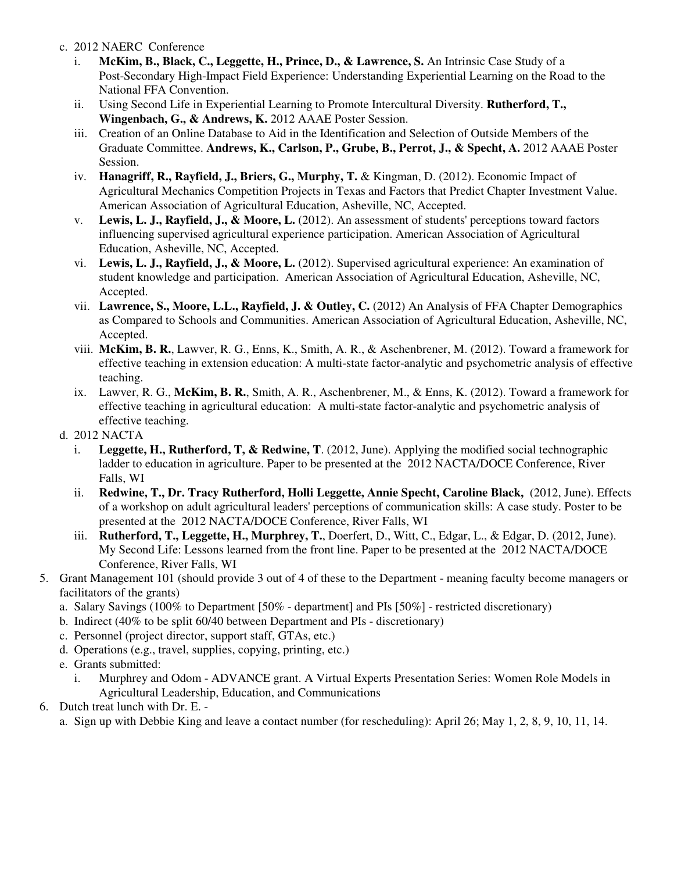- c. 2012 NAERC Conference
	- i. **McKim, B., Black, C., Leggette, H., Prince, D., & Lawrence, S.** An Intrinsic Case Study of a Post-Secondary High-Impact Field Experience: Understanding Experiential Learning on the Road to the National FFA Convention.
	- ii. Using Second Life in Experiential Learning to Promote Intercultural Diversity. **Rutherford, T., Wingenbach, G., & Andrews, K.** 2012 AAAE Poster Session.
	- iii. Creation of an Online Database to Aid in the Identification and Selection of Outside Members of the Graduate Committee. **Andrews, K., Carlson, P., Grube, B., Perrot, J., & Specht, A.** 2012 AAAE Poster Session.
	- iv. **Hanagriff, R., Rayfield, J., Briers, G., Murphy, T.** & Kingman, D. (2012). Economic Impact of Agricultural Mechanics Competition Projects in Texas and Factors that Predict Chapter Investment Value. American Association of Agricultural Education, Asheville, NC, Accepted.
	- v. **Lewis, L. J., Rayfield, J., & Moore, L.** (2012). An assessment of students' perceptions toward factors influencing supervised agricultural experience participation. American Association of Agricultural Education, Asheville, NC, Accepted.
	- vi. **Lewis, L. J., Rayfield, J., & Moore, L.** (2012). Supervised agricultural experience: An examination of student knowledge and participation. American Association of Agricultural Education, Asheville, NC, Accepted.
	- vii. **Lawrence, S., Moore, L.L., Rayfield, J. & Outley, C.** (2012) An Analysis of FFA Chapter Demographics as Compared to Schools and Communities. American Association of Agricultural Education, Asheville, NC, Accepted.
	- viii. **McKim, B. R.**, Lawver, R. G., Enns, K., Smith, A. R., & Aschenbrener, M. (2012). Toward a framework for effective teaching in extension education: A multi-state factor-analytic and psychometric analysis of effective teaching.
	- ix. Lawver, R. G., **McKim, B. R.**, Smith, A. R., Aschenbrener, M., & Enns, K. (2012). Toward a framework for effective teaching in agricultural education: A multi-state factor-analytic and psychometric analysis of effective teaching.
- d. 2012 NACTA
	- i. **Leggette, H., Rutherford, T, & Redwine, T**. (2012, June). Applying the modified social technographic ladder to education in agriculture. Paper to be presented at the 2012 NACTA/DOCE Conference, River Falls, WI
	- ii. **Redwine, T., Dr. Tracy Rutherford, Holli Leggette, Annie Specht, Caroline Black,** (2012, June). Effects of a workshop on adult agricultural leaders' perceptions of communication skills: A case study. Poster to be presented at the 2012 NACTA/DOCE Conference, River Falls, WI
	- iii. **Rutherford, T., Leggette, H., Murphrey, T.**, Doerfert, D., Witt, C., Edgar, L., & Edgar, D. (2012, June). My Second Life: Lessons learned from the front line. Paper to be presented at the 2012 NACTA/DOCE Conference, River Falls, WI
- 5. Grant Management 101 (should provide 3 out of 4 of these to the Department meaning faculty become managers or facilitators of the grants)
	- a. Salary Savings (100% to Department [50% department] and PIs [50%] restricted discretionary)
	- b. Indirect (40% to be split 60/40 between Department and PIs discretionary)
	- c. Personnel (project director, support staff, GTAs, etc.)
	- d. Operations (e.g., travel, supplies, copying, printing, etc.)
	- e. Grants submitted:
		- i. Murphrey and Odom ADVANCE grant. A Virtual Experts Presentation Series: Women Role Models in Agricultural Leadership, Education, and Communications
- 6. Dutch treat lunch with Dr. E. -

a. Sign up with Debbie King and leave a contact number (for rescheduling): April 26; May 1, 2, 8, 9, 10, 11, 14.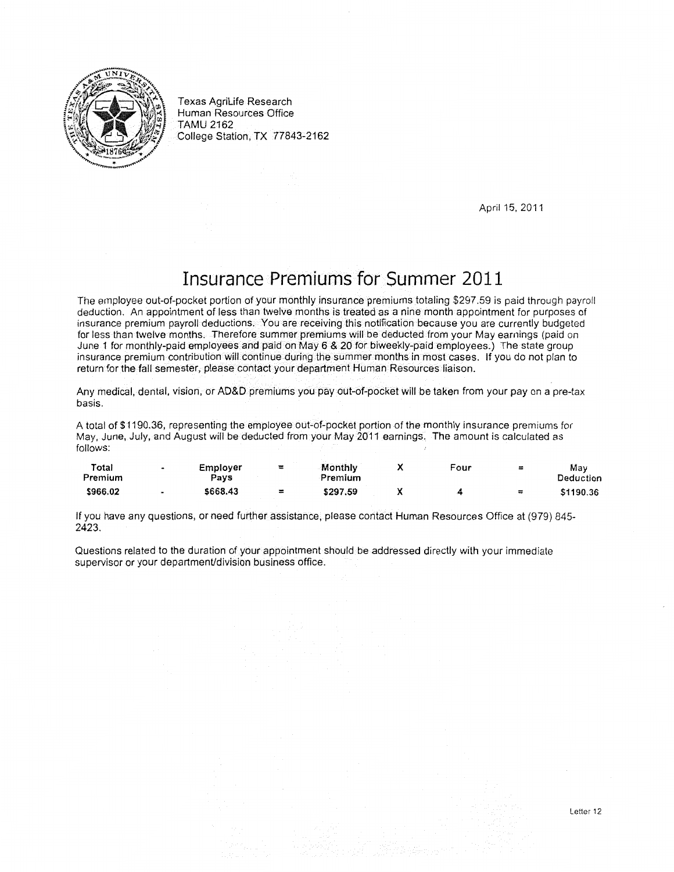

Texas AgriLife Research Human Resources Office TAMU 2162 College Station, TX 77843-2162

April 15, 2011

# Insurance Premiums for Summer 2011

The employee out-of-pocket portion of your monthly insurance premiums totaling \$297.59 is paid through payroll deduction. An appointment of less than twelve months is treated as a nine month appointment for purposes of insurance premium payroll deductions. You are receiving this notification because you are currently budgeted for less than twelve months. Therefore summer premiums will be deducted from your May earnings (paid on June 1 for monthly-paid employees and paid on May 6 & 20 for biweekly-paid employees.) The state group insurance premium contribution will continue during the summer months in most cases. If you do not plan to return for the fall semester, please contact your department Human Resources liaison.

Any medical, dental, vision, or AD&D premiums you pay out-of-pocket will be taken from your pay on a pre-tax basis.

A total of \$1190.36, representing the employee out-of-pocket portion of the monthly insurance premiums for May, June, July, and August will be deducted from your May 2011 earnings. The amount is calculated as follows:

| Total<br>Premium | Employer<br>$P_{\rm{avs}}$ | ≖        | Monthly<br>Premium | Four | $\equiv$ | Mav<br><b>Deduction</b> |
|------------------|----------------------------|----------|--------------------|------|----------|-------------------------|
| \$966.02         | \$668.43                   | $\equiv$ | \$297.59           |      | $\equiv$ | \$1190.36               |

If you have any questions, or need further assistance, please contact Human Resources Office at (979) 845- 2423.

Questions related to the duration of your appointment should be addressed directly with your immediate supervisor or your department/division business office.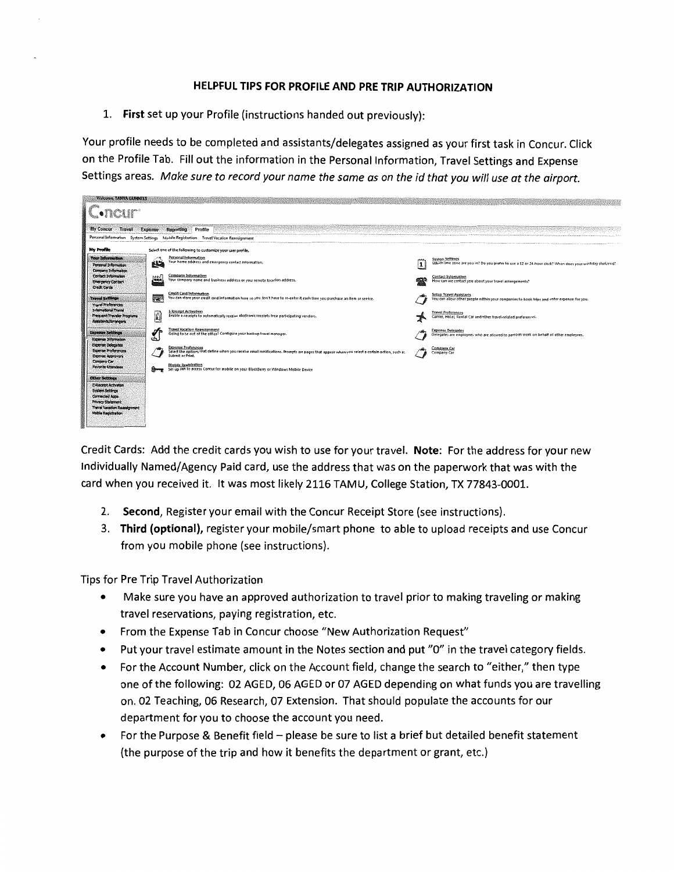## **HELPFUL TIPS FOR PROFILE AND PRE TRIP AUTHORIZATION**

**1. First** set up your Profile (instructions handed out previously):

Your profile needs to be completed and assistants/delegates assigned as your first task in Concur. Click on the Profile Tab. Fill out the information in the Personal Information, Travel Settings and Expense Settings areas. *Make sure to record your name the same as on the id that you* will *use at the airport.* 

| My Concur<br>Travoi                                                                                                                                                                        | <b>Expense</b>   | Reporting Profile                                                                                                                                                                              |     |                                                                                                                                     |
|--------------------------------------------------------------------------------------------------------------------------------------------------------------------------------------------|------------------|------------------------------------------------------------------------------------------------------------------------------------------------------------------------------------------------|-----|-------------------------------------------------------------------------------------------------------------------------------------|
| Personal Information System Settings                                                                                                                                                       |                  | Mobile Registration Travel Vacation Reassignment                                                                                                                                               |     |                                                                                                                                     |
| No Profile                                                                                                                                                                                 |                  | Select one of the following to customize your user profile.                                                                                                                                    |     |                                                                                                                                     |
| <b>Your Information</b><br>Personal Information<br>Company Information                                                                                                                     | أطأ              | Personal Information<br>Your home address and emergency contact information.                                                                                                                   | ممم | <b>System Settings</b><br>Which time zone are you in? Do you prefer to use a 12 or 24 hour clock? When does your workday start/end? |
| Contact Information<br><b>Emergency Contact</b><br><b>Credit Cords</b>                                                                                                                     | ww<br><b>ARA</b> | Company Information<br>Your company name and business address or your remote location address.                                                                                                 |     | Contact Information<br>How can we contact you about your travel arrangements?                                                       |
| <b>Travel Settings</b><br><b>Travel Preferences</b>                                                                                                                                        | 震                | Credit Card Information<br>You can store your credit card information here so you don't have to re-enter it each time you purchase an item or service.                                         |     | <b>Setup Travel Assistants</b><br>You can allow other people within your companies to book trips and enter expenses for you.        |
| <b>International Travel</b><br>Frequent-Traveler Programs<br>Assistants/Arrangers                                                                                                          | E                | <b>E-Receipt Activation</b><br>Enable e-receipts to automatically receive electronic receipts from participating vendors.                                                                      |     | <b>Travel Preferences</b><br>Carrier, Hotel, Rental Car and other travel-related preferences.                                       |
| <b>Expense Settings</b><br>Expense Information                                                                                                                                             | ∸                | <b>Travel Vacation Reassignment</b><br>Going to be out of the office? Configure your backup travel manager.                                                                                    |     | <b>Expense Delegates</b><br>Delegates are employees who are allowed to perform work on behalf of other employees.                   |
| <b>Experise Delegates</b><br><b>Expense Preferences</b><br><b>Experise Accrovers</b>                                                                                                       |                  | <b>Expense Preferences</b><br>Select the options that define when you receive email netifications. Prompts are pages that appear when you select a certain action, such as<br>Submit or Print. |     | Company Cas<br>Company Car                                                                                                          |
| Company Car<br><b>Favorite Attendees</b>                                                                                                                                                   | <b>Allenga</b>   | Mobile Repistration<br>Set up FIN to access Concur for mobile on your BlackBerry or Windows Mobile Device                                                                                      |     |                                                                                                                                     |
| <b>Other Settings</b><br><b>E-Receipt Activation</b><br><b>System Settings</b><br><b>Connected Apps</b><br>Privacy Statement<br><b>Travel Vacation Reassignment</b><br>Mobile Registration |                  |                                                                                                                                                                                                |     |                                                                                                                                     |

Credit Cards: Add the credit cards you wish to use for your travel. **Note:** For the address for your new Individually Named/Agency Paid card, use the address that was on the paperwork that was with the card when you received it. It was most likely 2116 TAMU, College Station, TX 77843-0001.

- 2. **Second,** Register your email with the Concur Receipt Store (see instructions).
- 3. **Third (optional),** register your mobile/smart phone to able to upload receipts and use Concur from you mobile phone (see instructions).

Tips for Pre Trip Travel Authorization

- Make sure you have an approved authorization to travel prior to making traveling or making travel reservations, paying registration, etc.
- From the Expense Tab in Concur choose "New Authorization Request"
- Put your travel estimate amount in the Notes section and put "0" in the travel category fields.
- For the Account Number, click on the Account field, change the search to "either," then type one of the following: 02 AGED, 06 AGED or 07 AGED depending on what funds you are travelling on. 02 Teaching, 06 Research, 07 Extension. That should populate the accounts for our department for you to choose the account you need.
- For the Purpose & Benefit field please be sure to list a brief but detailed benefit statement (the purpose of the trip and how it benefits the department or grant, etc.)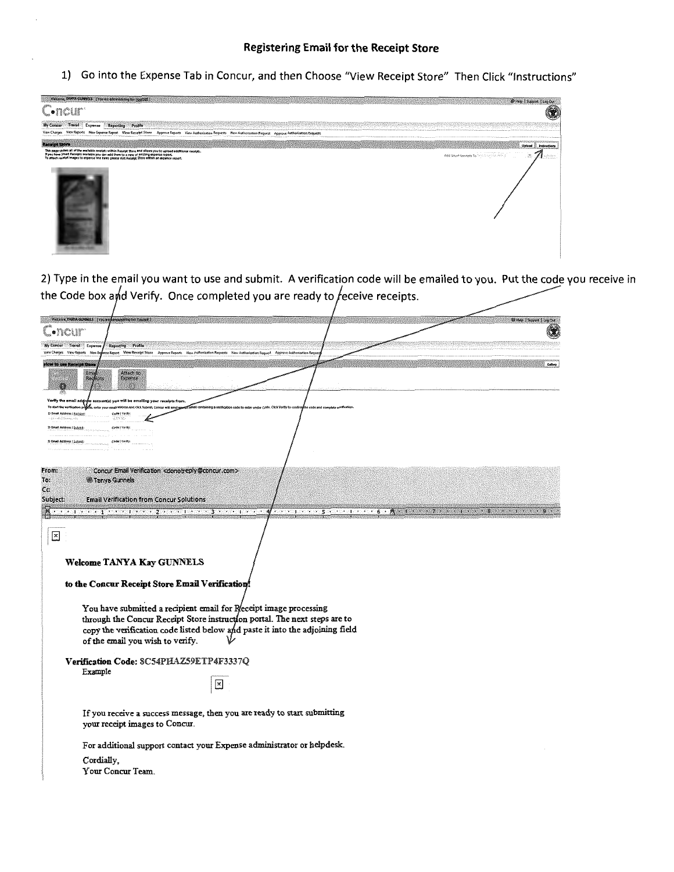#### **Registering Email for the Receipt Store**

1) Go into the Expense Tab in Concur, and then Choose "View Receipt Store" Then Click "Instructions"



2) Type in the email you want to use and submit. A verification code will be emailed to you. Put the code you receive in the Code box and Verify. Once completed you are ready to receive receipts.

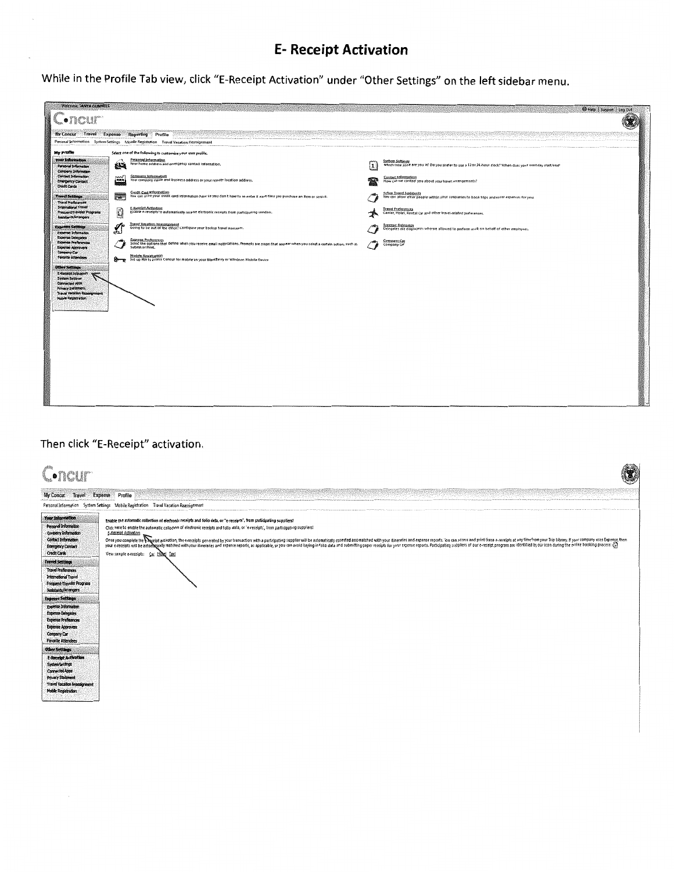# **E- Receipt Activation**

While in the Profile Tab view, click "E-Receipt Activation" under "Other Settings" on the left sidebar menu.

| <b>Welcome, TANYA GUNNELS</b><br>$\Box$ •ncur $\Box$                                     |                    |                                                                                                                                                                                                |     | Help   Support   Leg Out                                                                                                     |  |
|------------------------------------------------------------------------------------------|--------------------|------------------------------------------------------------------------------------------------------------------------------------------------------------------------------------------------|-----|------------------------------------------------------------------------------------------------------------------------------|--|
| My Concur Travol Expense                                                                 |                    | Reporting Profile<br>Personal Information System Settings Mobile Registration Travel Vacation Reassignment                                                                                     |     |                                                                                                                              |  |
| My Profile                                                                               |                    | Select one of the following to customize your user profile.                                                                                                                                    |     |                                                                                                                              |  |
| Your Information<br>Personal Information<br>Company Information                          | 越適                 | Personal Information<br>Your home address and emergency contact information.                                                                                                                   | ١ı. | System Settings<br>Which time zone are you in? Do you prefer to use a 12 or 24-hour clock? When does your workday start/end? |  |
| Contact Information<br><b>Energency Contact:</b><br><b>Credit Cards</b>                  | mЛ<br><b>Lines</b> | Company Information<br>Your company name and business address or your remote location address.                                                                                                 |     | Contact Information<br>How can we contact you about your travel arrangements?                                                |  |
| <b>Travel Settings</b><br>Travel Preferences                                             | ឝ                  | Credit Card Information<br>You can store your credit card information here so you don't have to re-enter it each time you purchase an ilem or service.                                         |     | Schup Travel Assistants<br>You can allow other people within your companies to book trips and enter expenses for you.        |  |
| <b>International Travel</b><br><b>Prequent-Traveler Programs</b><br>Assistants/Arrangers | O                  | E-Bescipt Activation<br>Enable e-receipts to automatically receive electronic receipts from participating vendors.                                                                             |     | <b>Travel Preferences</b><br>Carrier, Hotel, Rental Car and other travel-related preferences.                                |  |
| <b>Expense Settings</b><br><b>Experise Information</b>                                   | ь                  | <b>Travel Vasation Reassignment</b><br>Going to be out of the office? Configure your backup travel manager.                                                                                    |     | <b>Expense Delegates</b><br>Delegates are employees who are allowed to perform work on behalf of other employees.            |  |
| <b>Expense Delegates</b><br><b>Expense Preferences</b><br>Expense Approvers              |                    | <b>Expense Preferences</b><br>Select the options that define when you receive email notifications. Prompts are pages that appear when you select a certain action, such as<br>Submit or Print. |     | Company Car<br>Company Car                                                                                                   |  |
| Company Car<br>Favorite Attendees<br><b>Other Settings</b>                               | ≞—∍                | Mobile Registration<br>Set up FIN to access Concut for mobile on your BlackBerry or Windows Mobile Device                                                                                      |     |                                                                                                                              |  |
| E-Recept Activation<br><b>System Settings</b><br>Connected Apps:                         |                    |                                                                                                                                                                                                |     |                                                                                                                              |  |
| <b>Privacy Statement</b><br><b>Travel Vacation Reassignment</b><br>Mobile Registration   |                    |                                                                                                                                                                                                |     |                                                                                                                              |  |
|                                                                                          |                    |                                                                                                                                                                                                |     |                                                                                                                              |  |
|                                                                                          |                    |                                                                                                                                                                                                |     |                                                                                                                              |  |
|                                                                                          |                    |                                                                                                                                                                                                |     |                                                                                                                              |  |
|                                                                                          |                    |                                                                                                                                                                                                |     |                                                                                                                              |  |
|                                                                                          |                    |                                                                                                                                                                                                |     |                                                                                                                              |  |
|                                                                                          |                    |                                                                                                                                                                                                |     |                                                                                                                              |  |
|                                                                                          |                    |                                                                                                                                                                                                |     |                                                                                                                              |  |

## Then click "E-Receipt" activation.

| C.ncur                                                                                                                                                                                                                                                                                                                                                                                                                                                                                                                                   |                                                                                                                                                                                                                                                                                                                                                                                                                                                                                                                                                                 |
|------------------------------------------------------------------------------------------------------------------------------------------------------------------------------------------------------------------------------------------------------------------------------------------------------------------------------------------------------------------------------------------------------------------------------------------------------------------------------------------------------------------------------------------|-----------------------------------------------------------------------------------------------------------------------------------------------------------------------------------------------------------------------------------------------------------------------------------------------------------------------------------------------------------------------------------------------------------------------------------------------------------------------------------------------------------------------------------------------------------------|
| My Concur Travel Expense Profile                                                                                                                                                                                                                                                                                                                                                                                                                                                                                                         | Personal Information System Settings Mobile Registration Travel Vacation Reassignment                                                                                                                                                                                                                                                                                                                                                                                                                                                                           |
| Your Information<br>Personal Information<br>Company Information<br>Contact Information<br><b>Energency Contact</b><br><b>Credit Cards</b>                                                                                                                                                                                                                                                                                                                                                                                                | Enable the automatic collection of electronic receipts and folio data, or "e-receipts", from participating suppliers!<br>Click here to enable the automatic collection of electronic receipts and folio data, or 'e-receipts', from participating suppliers!<br>E-Receipt Activation<br>Once the company of the entity of the security power annual in a particular supplier will be automatically collected and matched with you dinemies and expense posts. You can costs and these encodes in the e-receipts of my<br>View sample e-receipts: Car Hosel Taxi |
| <b>Travel Settings</b><br><b>Travel Preferences</b><br><b>International Travel</b><br>Frequent-Traveler Programs<br>Assistants/Arrangers<br><b>Expense Settings</b><br>Expense Information<br><b>Expense Delegates</b><br><b>Expense Preferences</b><br><b>Expense Approvers</b><br>Company Car<br><b>Favorite Attendees</b><br><b>Other Settings</b><br><b>E-Receipt Activation</b><br><b>System Settings</b><br><b>Connected Agos</b><br><b>Privacy Statement</b><br><b>Travel Vacation Reassignment</b><br><b>Mobile Registration</b> |                                                                                                                                                                                                                                                                                                                                                                                                                                                                                                                                                                 |
|                                                                                                                                                                                                                                                                                                                                                                                                                                                                                                                                          |                                                                                                                                                                                                                                                                                                                                                                                                                                                                                                                                                                 |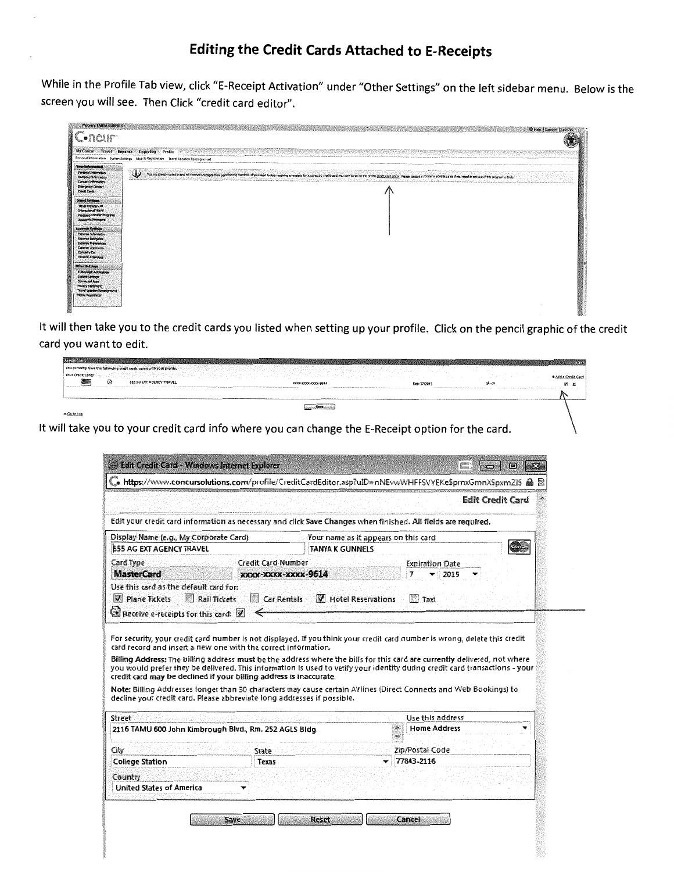## **Editing the Credit Cards Attached to E-Receipts**

**While in the Profile Tab view, click "E-Receipt Activation" under "Other Settings" on the left sidebar menu. Below is the screen you will see. Then Click "credit card editor".** 

| Welcome, TANYA GUNNELS                                                                                                                                                     | @ Help   Support   Log Out                                                                                                                                                                                                                                                                                                      |
|----------------------------------------------------------------------------------------------------------------------------------------------------------------------------|---------------------------------------------------------------------------------------------------------------------------------------------------------------------------------------------------------------------------------------------------------------------------------------------------------------------------------|
| Concur                                                                                                                                                                     |                                                                                                                                                                                                                                                                                                                                 |
|                                                                                                                                                                            | <b>COMPLEY STREET</b><br>My Concur Travel Expense Reporting Profile<br>Personal Information System Settings Mobile Registration Travel Vacation Reassignment                                                                                                                                                                    |
| <b>CONTRACTOR</b> CONTRACTOR                                                                                                                                               |                                                                                                                                                                                                                                                                                                                                 |
| <b>Your Information</b><br>Personal Information<br>Company Information<br>Contact Information<br><b>Energency Contact</b><br>Ondi Cards                                    | ی<br>You are affectly comed in any will mean a recopen from particular, are found in the recopen particular and the particular much card, you may do so on the profit <u>pack card edity.</u> Pease contact a concerv advantation if you<br><b>LONGIT CONTRACTORS INCOME</b><br><u>kilin Mihim saatuniatoon soo oo to</u> on as |
| <b>Travel Settings</b><br>Travel Preferences<br><b>International Travel</b><br>Frequent-Traveler Programs<br>Amistants/Arrangers                                           |                                                                                                                                                                                                                                                                                                                                 |
| <b>Expense Settings</b><br><b>Expense Information</b><br>Experie Delegates<br>Expense Preferences<br><b>Experise Approvers</b><br>Company Car<br><b>Paverite Attendees</b> |                                                                                                                                                                                                                                                                                                                                 |
| Other Settings<br><b>E-Receipt Activation</b><br><b>System Settings</b><br>Corrected Acces<br>Privacy Statement<br>Travel Vacation Reassignment<br>Mobile Repatration      |                                                                                                                                                                                                                                                                                                                                 |

**It will then take you to the credit cards you listed when setting up your profile. Click on the pencil graphic of the credit card you want to edit.** 

| 20186102          |   |                                                                                                     |                           |                                    |               |                     |
|-------------------|---|-----------------------------------------------------------------------------------------------------|---------------------------|------------------------------------|---------------|---------------------|
|                   |   | ou currently have the following cradit cards saved with your profile.                               |                           |                                    | <b>COLUMN</b> |                     |
| four Credit Cards |   |                                                                                                     | the state of the state of | and the state<br>$\sim$ 100 $\sim$ | .             | + Add a Credit Card |
|                   | G | 555 AG EXT AGENCY TRAVEL<br>And control in the first property of the energy and property the second | 30006-10006-10006-9614    | Exp: 07/2015                       | オマ            | <b>25 X</b>         |
|                   |   |                                                                                                     |                           |                                    |               |                     |
|                   |   |                                                                                                     | /Summary                  |                                    |               |                     |
| Go to top         |   |                                                                                                     |                           |                                    |               |                     |

 $\overline{\phantom{0}}$ 

**It will take you to your credit card info where you can change the E-Receipt option for the card.** 

|                                                                                                                                |                                                                                                                                               | . https://www.concursolutions.com/profile/CreditCardEditor.asp?uID=nNEvwWHFFSVYEKeSprnxGmnXSpxmZIS                                                                                                                                                                                                                                                                             |
|--------------------------------------------------------------------------------------------------------------------------------|-----------------------------------------------------------------------------------------------------------------------------------------------|--------------------------------------------------------------------------------------------------------------------------------------------------------------------------------------------------------------------------------------------------------------------------------------------------------------------------------------------------------------------------------|
|                                                                                                                                |                                                                                                                                               | <b>Edit Credit Card</b>                                                                                                                                                                                                                                                                                                                                                        |
|                                                                                                                                | Edit your credit card information as necessary and click Save Changes when finished. All fields are required.                                 |                                                                                                                                                                                                                                                                                                                                                                                |
| Display Name (e.g., My Corporate Card)                                                                                         |                                                                                                                                               | Your name as it appears on this card                                                                                                                                                                                                                                                                                                                                           |
| <b>555 AG EXT AGENCY TRAVEL</b>                                                                                                | <b>TANYA K GUNNELS</b>                                                                                                                        | <b>MARITAN</b>                                                                                                                                                                                                                                                                                                                                                                 |
| Card Type                                                                                                                      | Credit Card Number                                                                                                                            | Expiration Date                                                                                                                                                                                                                                                                                                                                                                |
| <b>MasterCard</b>                                                                                                              | XXXX-XXXX-XXXX-9614                                                                                                                           | 2015                                                                                                                                                                                                                                                                                                                                                                           |
|                                                                                                                                |                                                                                                                                               |                                                                                                                                                                                                                                                                                                                                                                                |
| $ V $ Plane Tickets<br><b>Rail Tickets</b><br>$\mathbf{\mathbb{C}}$ Receive e-receipts for this card: $\vert \mathbf{V} \vert$ | <b>Car Rentals</b><br>card record and insert a new one with the correct information.                                                          | M Hotel Reservations<br>Taxi<br>For security, your credit card number is not displayed. If you think your credit card number is wrong, delete this credit                                                                                                                                                                                                                      |
|                                                                                                                                | credit card may be declined if your billing address is inaccurate.<br>decline your credit card. Please abbreviate long addresses if possible. | Billing Address: The billing address must be the address where the bills for this card are currently delivered, not where<br>you would prefer they be delivered. This information is used to verify your identity during credit card transactions - your<br>Note: Billing Addresses longer than 30 characters may cause certain Airlines (Direct Connects and Web Bookings) to |
| <b>Street</b>                                                                                                                  |                                                                                                                                               | Use this address                                                                                                                                                                                                                                                                                                                                                               |
| 2116 TAMU 600 John Kimbrough Blvd., Rm. 252 AGLS Bidg.                                                                         |                                                                                                                                               | <b>Home Address</b><br>$\Lambda$                                                                                                                                                                                                                                                                                                                                               |
| City                                                                                                                           | State                                                                                                                                         | Zip/Postal Code                                                                                                                                                                                                                                                                                                                                                                |
| <b>College Station</b>                                                                                                         | Texas                                                                                                                                         | 77843-2116<br>▼                                                                                                                                                                                                                                                                                                                                                                |
| Country                                                                                                                        |                                                                                                                                               |                                                                                                                                                                                                                                                                                                                                                                                |